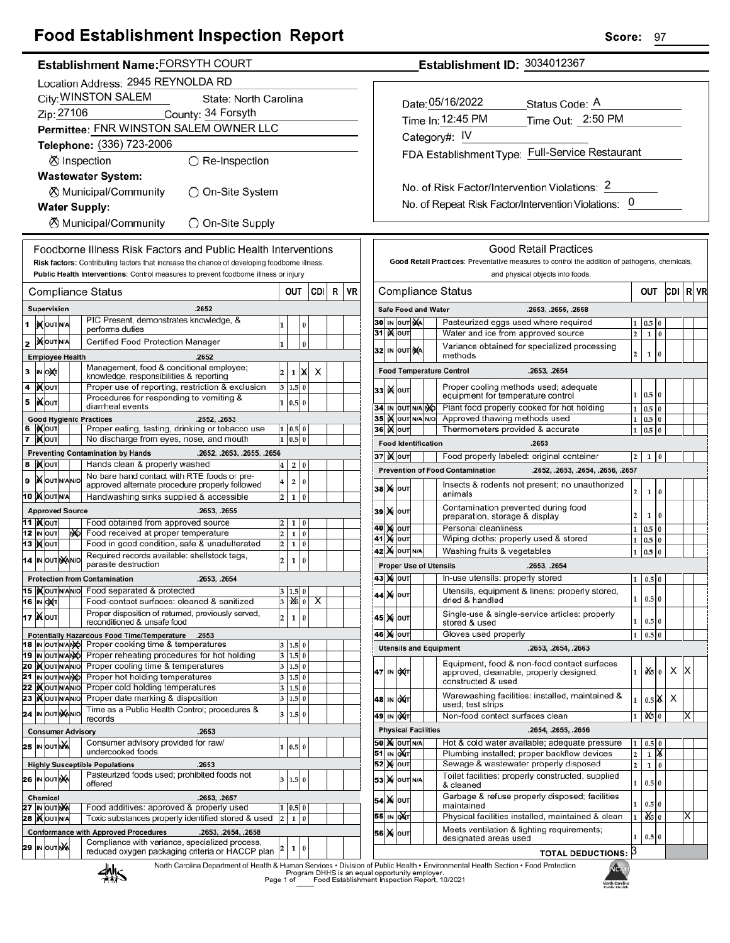## **Food Establishment Inspection Report**

### Establishment Name: FORSYTH COURT

|    | Location Address: 2945 REYNOLDA RD           |                                 |  |  |                                                                                                                      |                         |                   |          |     |   |    |
|----|----------------------------------------------|---------------------------------|--|--|----------------------------------------------------------------------------------------------------------------------|-------------------------|-------------------|----------|-----|---|----|
|    | City: WINSTON SALEM<br>State: North Carolina |                                 |  |  |                                                                                                                      |                         |                   |          |     |   |    |
|    |                                              | Zip: 27106                      |  |  | County: 34 Forsyth                                                                                                   |                         |                   |          |     |   |    |
|    |                                              |                                 |  |  | Permittee: FNR WINSTON SALEM OWNER LLC                                                                               |                         |                   |          |     |   |    |
|    |                                              |                                 |  |  | Telephone: (336) 723-2006                                                                                            |                         |                   |          |     |   |    |
|    |                                              |                                 |  |  | ⊗ Inspection<br>$\bigcirc$ Re-Inspection                                                                             |                         |                   |          |     |   |    |
|    |                                              |                                 |  |  | <b>Wastewater System:</b>                                                                                            |                         |                   |          |     |   |    |
|    |                                              |                                 |  |  | ⊗ Municipal/Community<br>◯ On-Site System                                                                            |                         |                   |          |     |   |    |
|    |                                              |                                 |  |  | <b>Water Supply:</b>                                                                                                 |                         |                   |          |     |   |    |
|    |                                              |                                 |  |  | <b>8</b> Municipal/Community<br>◯ On-Site Supply                                                                     |                         |                   |          |     |   |    |
|    |                                              |                                 |  |  | Foodborne Illness Risk Factors and Public Health Interventions                                                       |                         |                   |          |     |   |    |
|    |                                              |                                 |  |  | Risk factors: Contributing factors that increase the chance of developing foodborne illness.                         |                         |                   |          |     |   |    |
|    |                                              |                                 |  |  | Public Health Interventions: Control measures to prevent foodborne illness or injury                                 |                         |                   |          |     |   |    |
|    |                                              |                                 |  |  | Compliance Status                                                                                                    |                         | out               |          | CDI | R | VR |
|    |                                              | Supervision                     |  |  | .2652                                                                                                                |                         |                   |          |     |   |    |
| 1  |                                              | <b>IX</b> OUTNA                 |  |  | PIC Present, demonstrates knowledge, &<br>performs duties                                                            | 1                       |                   | 0        |     |   |    |
| 2  |                                              | <b>XOUTNA</b>                   |  |  | Certified Food Protection Manager                                                                                    | 1                       |                   | $\bf{0}$ |     |   |    |
|    |                                              | <b>Employee Health</b>          |  |  | .2652                                                                                                                |                         |                   |          |     |   |    |
| 3  |                                              | ∣ін ∣о)қт                       |  |  | Management, food & conditional employee;<br>knowledge, responsibilities & reporting                                  | 2                       | 1                 | x        | x   |   |    |
| 4  |                                              | јХ∣оυт                          |  |  | Proper use of reporting, restriction & exclusion                                                                     | 3                       | 1.5               | $\bf{0}$ |     |   |    |
| 5  |                                              | IiXo∪т                          |  |  | Procedures for responding to vomiting &<br>diarrheal events                                                          | $\mathbf{1}$            | 0.5               | $\bf{0}$ |     |   |    |
|    |                                              |                                 |  |  | <b>Good Hygienic Practices</b><br>.2652, .2653                                                                       |                         |                   |          |     |   |    |
| 7  |                                              | 6 ∣)Х∣о∪т<br>∣ <b>)∢</b> ∣оυт   |  |  | Proper eating, tasting, drinking or tobacco use<br>No discharge from eyes, nose, and mouth                           | 1<br>1                  | 0.5 0<br>0.5      | $\bf{0}$ |     |   |    |
|    |                                              |                                 |  |  | <b>Preventing Contamination by Hands</b><br>.2652, .2653, .2655, .2656                                               |                         |                   |          |     |   |    |
| 8  |                                              | <b>X</b> OUT                    |  |  | Hands clean & properly washed                                                                                        | 4                       | 2                 | 0        |     |   |    |
| 9  |                                              | <b>X</b> OUTNANO                |  |  | No bare hand contact with RTE foods or pre-<br>approved alternate procedure properly followed                        | 4                       | 2                 | 0        |     |   |    |
|    |                                              | 10 XOUTNA                       |  |  | Handwashing sinks supplied & accessible                                                                              | 2                       | 1                 | $\bf{0}$ |     |   |    |
|    |                                              | <b>Approved Source</b>          |  |  | .2653, .2655                                                                                                         |                         |                   |          |     |   |    |
|    |                                              | 11  ) <b>χ</b> <sub>l</sub> out |  |  | Food obtained from approved source                                                                                   | 2                       | 1                 | 0        |     |   |    |
|    |                                              | 12 IN OUT<br><b>13  Х</b>   оит |  |  | No Food received at proper temperature<br>Food in good condition, safe & unadulterated                               | 2<br>2                  | 1<br>1            | 0<br>0   |     |   |    |
|    |                                              | 14 IN OUT NANO                  |  |  | Required records available: shellstock tags,                                                                         | 2                       | 1                 | 0        |     |   |    |
|    |                                              |                                 |  |  | parasite destruction                                                                                                 |                         |                   |          |     |   |    |
|    |                                              | 15  )(OUTN/AN/O                 |  |  | <b>Protection from Contamination</b><br>.2653, .2654<br>Food separated & protected                                   |                         | 3 1.5             | 0        |     |   |    |
|    |                                              | 16  IN OXT                      |  |  | Food-contact surfaces: cleaned & sanitized                                                                           |                         | $3 \mathbf{16} 0$ |          | Х.  |   |    |
|    |                                              | 17 XOUT                         |  |  | Proper disposition of returned, previously served,<br>reconditioned & unsafe food                                    | 2                       | 1                 | 0        |     |   |    |
|    |                                              |                                 |  |  | Potentially Hazardous Food Time/Temperature<br>.2653                                                                 |                         |                   |          |     |   |    |
|    |                                              | 18 IN OUT N/ANO                 |  |  | Proper cooking time & temperatures                                                                                   | 3                       | 1.5               | 0        |     |   |    |
|    |                                              | 19 IN OUT NANO                  |  |  | Proper reheating procedures for hot holding                                                                          | 3                       | 1.5 0             |          |     |   |    |
|    |                                              | 20 MOUTNANO<br>21 IN OUT N/ANO  |  |  | Proper cooling time & temperatures<br>Proper hot holding temperatures                                                | 3<br>3                  | 1.5 0<br>1.5 0    |          |     |   |    |
| 22 |                                              | <b>KOUTNANO</b>                 |  |  | Proper cold holding temperatures                                                                                     | 3                       | 1.5               | 0        |     |   |    |
|    |                                              | 23   OUTNANO                    |  |  | Proper date marking & disposition                                                                                    | 3                       | 1.5               | 0        |     |   |    |
|    |                                              | 24 IN OUT NANO                  |  |  | Time as a Public Health Control; procedures &<br>records                                                             | 3                       | 1.5               | $\bf{0}$ |     |   |    |
|    |                                              |                                 |  |  | <b>Consumer Advisory</b><br>.2653                                                                                    |                         |                   |          |     |   |    |
|    |                                              | 25 IN OUT NA                    |  |  | Consumer advisory provided for raw/<br>undercooked foods                                                             | 1                       | 0.5               | $\bf{0}$ |     |   |    |
|    |                                              |                                 |  |  | .2653<br><b>Highly Susceptible Populations</b>                                                                       |                         |                   |          |     |   |    |
|    |                                              | 26 IN OUT NA                    |  |  | Pasteurized foods used; prohibited foods not<br>offered                                                              | 3                       | 1.5 0             |          |     |   |    |
|    |                                              | <b>Chemical</b>                 |  |  | .2653, .2657                                                                                                         |                         |                   |          |     |   |    |
|    |                                              | <b>27 ΙΝ ΟυΤΝΑ</b>              |  |  | Food additives: approved & properly used                                                                             | 1                       | 0.5               | 0        |     |   |    |
|    |                                              | <b>28   OUTNA</b>               |  |  | Toxic substances properly identified stored & used                                                                   | $\overline{\mathbf{c}}$ | 1                 | $\bf{0}$ |     |   |    |
|    |                                              |                                 |  |  | <b>Conformance with Approved Procedures</b><br>.2653, .2654, .2658<br>Compliance with variance, specialized process, |                         |                   |          |     |   |    |
|    |                                              | 29 IN OUT NA                    |  |  | reduced oxygen packaging criteria or HACCP plan                                                                      | 2                       | 1                 | 0        |     |   |    |

Establishment ID: 3034012367

| Date: 05/16/2022  | Status Code: A                                  |
|-------------------|-------------------------------------------------|
| Time In: 12:45 PM | Time Out: 2:50 PM                               |
| Category#: IV     |                                                 |
|                   | FDA Establishment Type: Full-Service Restaurant |
|                   |                                                 |

No. of Risk Factor/Intervention Violations: 2 No. of Repeat Risk Factor/Intervention Violations: 0

|                                                                            |                                                                                                 |                       |                                                                      |                            | <b>Good Retail Practices</b>                                                                                       |                         |          |              |   |   |  |
|----------------------------------------------------------------------------|-------------------------------------------------------------------------------------------------|-----------------------|----------------------------------------------------------------------|----------------------------|--------------------------------------------------------------------------------------------------------------------|-------------------------|----------|--------------|---|---|--|
|                                                                            |                                                                                                 |                       |                                                                      |                            | Good Retail Practices: Preventative measures to control the addition of pathogens, chemicals,                      |                         |          |              |   |   |  |
|                                                                            | and physical objects into foods.<br>CDI                                                         |                       |                                                                      |                            |                                                                                                                    |                         |          |              |   |   |  |
|                                                                            | Compliance Status<br>OUT<br>R<br>VR                                                             |                       |                                                                      |                            |                                                                                                                    |                         |          |              |   |   |  |
|                                                                            |                                                                                                 |                       |                                                                      | <b>Safe Food and Water</b> | .2653, .2655, .2658                                                                                                |                         |          |              |   |   |  |
| 30                                                                         |                                                                                                 | IN OUT                | ŅÁ                                                                   |                            | Pasteurized eggs used where required                                                                               | $\overline{\mathbf{c}}$ | $0.5\,$  |              |   |   |  |
| 31                                                                         | <b>K</b> lout<br>Water and ice from approved source                                             |                       |                                                                      |                            |                                                                                                                    |                         | 1        | 0            |   |   |  |
| Variance obtained for specialized processing<br>IN OUT NA<br>32<br>methods |                                                                                                 |                       |                                                                      |                            |                                                                                                                    |                         | 1        | $\bf{0}$     |   |   |  |
|                                                                            |                                                                                                 |                       |                                                                      |                            | <b>Food Temperature Control</b><br>.2653, .2654                                                                    |                         |          |              |   |   |  |
| 33                                                                         | Proper cooling methods used; adequate<br>K<br>OUT<br>1<br>equipment for temperature control     |                       |                                                                      |                            |                                                                                                                    |                         | 0.5      | 0            |   |   |  |
| 34                                                                         |                                                                                                 | IN OUT N/A NO         |                                                                      |                            | Plant food properly cooked for hot holding                                                                         | $\mathbf{1}$            | 0.5      | $\bf{0}$     |   |   |  |
| 35                                                                         |                                                                                                 | <b>IX</b> OUT N/A N/O |                                                                      |                            | Approved thawing methods used                                                                                      | $\mathbf{1}$            | 0.5      | 0            |   |   |  |
| 36                                                                         |                                                                                                 | <b>)</b>              |                                                                      |                            | Thermometers provided & accurate                                                                                   | 1                       | 0.5      | 0            |   |   |  |
|                                                                            |                                                                                                 |                       |                                                                      | <b>Food Identification</b> | .2653                                                                                                              |                         |          |              |   |   |  |
|                                                                            |                                                                                                 | 37   ) (   ouт        |                                                                      |                            | Food properly labeled: original container                                                                          | 2                       | 1        | 0            |   |   |  |
|                                                                            |                                                                                                 |                       |                                                                      |                            | <b>Prevention of Food Contamination</b><br>.2652, .2653, .2654, .2656, .2657                                       |                         |          |              |   |   |  |
| 38                                                                         | M                                                                                               | OUT                   |                                                                      |                            | Insects & rodents not present; no unauthorized<br>animals                                                          | 2                       | 1        | 0            |   |   |  |
| 39                                                                         | Contamination prevented during food<br><b>X</b> OUT<br>preparation, storage & display           |                       |                                                                      |                            |                                                                                                                    |                         | 1        | 0            |   |   |  |
| 40                                                                         |                                                                                                 | <b>M</b> OUT          |                                                                      |                            | Personal cleanliness                                                                                               | $\mathbf{1}$            | 0.5      | 0            |   |   |  |
| 41                                                                         | M                                                                                               | OUT                   | Wiping cloths: properly used & stored                                |                            |                                                                                                                    |                         | $_{0.5}$ | 0            |   |   |  |
| 42                                                                         | Washing fruits & vegetables<br><b>X</b> OUT N/A                                                 |                       |                                                                      |                            |                                                                                                                    |                         | 0.5      | $\bf{0}$     |   |   |  |
|                                                                            |                                                                                                 |                       |                                                                      |                            | <b>Proper Use of Utensils</b><br>.2653, .2654                                                                      |                         |          |              |   |   |  |
|                                                                            |                                                                                                 | 43   X   оит          |                                                                      |                            | In-use utensils: properly stored                                                                                   | 1                       | 0.5      | 0            |   |   |  |
| 44                                                                         |                                                                                                 | <b>X</b> OUT          |                                                                      |                            | Utensils, equipment & linens: properly stored,<br>1<br>0.5<br>dried & handled                                      |                         |          | $\bf{0}$     |   |   |  |
| 45                                                                         | M                                                                                               | OUT                   |                                                                      |                            | Single-use & single-service articles: properly<br>1<br>0<br>0.5<br>stored & used                                   |                         |          |              |   |   |  |
| Gloves used properly<br>46<br><b>M</b> OUT                                 |                                                                                                 |                       |                                                                      |                            |                                                                                                                    | $\mathbf{1}$            | 0.5      | 0            |   |   |  |
|                                                                            |                                                                                                 |                       |                                                                      |                            | <b>Utensils and Equipment</b><br>.2653, .2654, .2663                                                               |                         |          |              |   |   |  |
| 47                                                                         | IN                                                                                              | охт                   |                                                                      |                            | Equipment, food & non-food contact surfaces<br>approved, cleanable, properly designed,<br>constructed & used       | 1                       | ÒŚ.      | $\bf{0}$     | х | x |  |
| 48                                                                         |                                                                                                 | IN OUT                | Warewashing facilities: installed, maintained &<br>used; test strips |                            |                                                                                                                    |                         |          | $0.5$ $\chi$ | х |   |  |
| 49                                                                         |                                                                                                 | IN QAT                |                                                                      |                            | Non-food contact surfaces clean                                                                                    | $\mathbf{1}$            | 06       | $\bf{0}$     |   | X |  |
|                                                                            |                                                                                                 |                       |                                                                      |                            | .2654, .2655, .2656                                                                                                |                         |          |              |   |   |  |
| 50                                                                         | <b>Physical Facilities</b><br>Hot & cold water available; adequate pressure<br><b>X</b> OUT N/A |                       |                                                                      |                            |                                                                                                                    |                         | 0.5      | 0            |   |   |  |
| 51                                                                         | IN                                                                                              | OUT                   | Plumbing installed; proper backflow devices                          |                            |                                                                                                                    | 1<br>2                  | 1        | X            |   |   |  |
| 52                                                                         | M                                                                                               | OUT                   |                                                                      |                            | Sewage & wastewater properly disposed                                                                              |                         |          |              |   |   |  |
| 53                                                                         | M                                                                                               | OUT N/A               |                                                                      |                            | $\overline{2}$<br>0<br>1<br>Toilet facilities: properly constructed, supplied<br>$\bf{0}$<br>1<br>0.5<br>& cleaned |                         |          |              |   |   |  |
| 54                                                                         | M                                                                                               | OUT                   |                                                                      |                            | Garbage & refuse properly disposed; facilities<br>maintained                                                       | 1                       | $0.5\,$  | $\bf{0}$     |   |   |  |
| 55                                                                         | IN                                                                                              | охт                   |                                                                      |                            | Physical facilities installed, maintained & clean                                                                  | $\mathbf{1}$            | òś,      | 0            |   | Χ |  |
| 56                                                                         | M                                                                                               | OUT                   |                                                                      |                            | Meets ventilation & lighting requirements;<br>designated areas used                                                | $\mathbf{1}$            | 0.5 0    |              |   |   |  |
|                                                                            |                                                                                                 |                       |                                                                      |                            | <b>TOTAL DEDUCTIONS:</b>                                                                                           | 3                       |          |              |   |   |  |
|                                                                            |                                                                                                 |                       |                                                                      |                            | n of Public Health • Environmental Health Section • Eood Protection                                                |                         |          |              |   |   |  |



r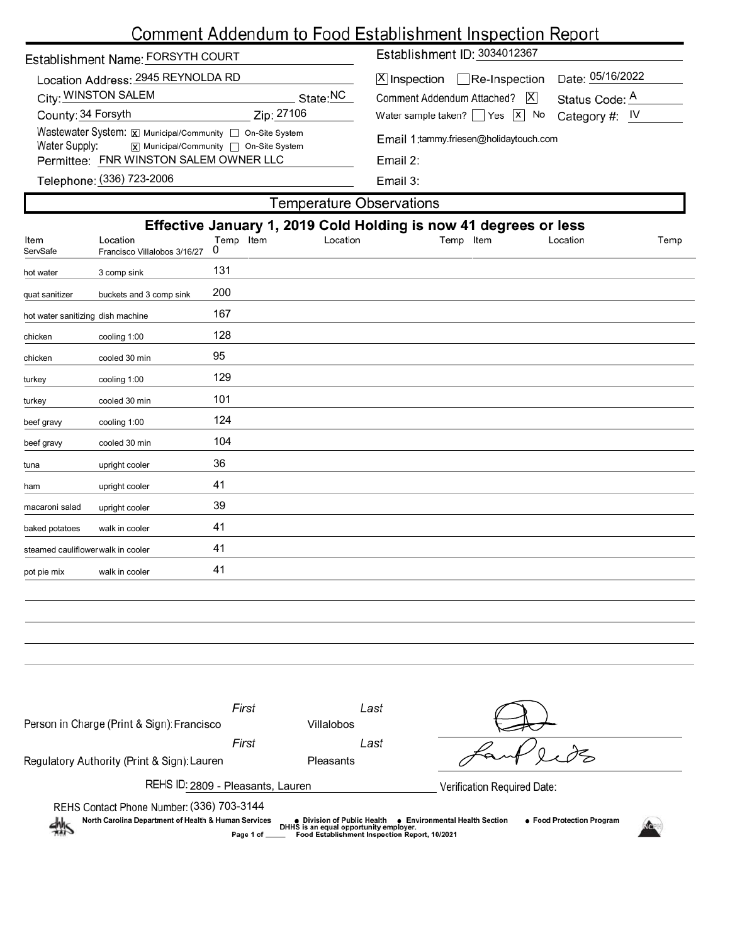# Comment Addendum to Food Establishment Inspection Report

| Establishment Name: FORSYTH COURT                                                                                                      |            | Establishment ID: 3034012367                   |                              |  |  |  |
|----------------------------------------------------------------------------------------------------------------------------------------|------------|------------------------------------------------|------------------------------|--|--|--|
| Location Address: 2945 REYNOLDA RD                                                                                                     |            | $ \mathsf{X} $ Inspection $\Box$ Re-Inspection | Date: 05/16/2022             |  |  |  |
| City: WINSTON SALEM                                                                                                                    | State:NC   | Comment Addendum Attached?                     | <u>IXI</u><br>Status Code: A |  |  |  |
| County: 34 Forsyth                                                                                                                     | Zip: 27106 | Water sample taken? $\Box$ Yes $\Box$ No       | Category #: $IV$             |  |  |  |
| Wastewater System: X Municipal/Community   On-Site System<br>Water Supply:<br>$\overline{x}$ Municipal/Community $\Box$ On-Site System |            | Email 1: tammy.friesen@holidaytouch.com        |                              |  |  |  |
| Permittee: FNR WINSTON SALEM OWNER LLC                                                                                                 |            | Email $2:$                                     |                              |  |  |  |
| Telephone: (336) 723-2006                                                                                                              |            | Email 3:                                       |                              |  |  |  |

Telephone: (336) 723-2006

I

**Temperature Observations** 

|                                    |                                          |                |          | Effective January 1, 2019 Cold Holding is now 41 degrees or less |          |      |
|------------------------------------|------------------------------------------|----------------|----------|------------------------------------------------------------------|----------|------|
| Item<br>ServSafe                   | Location<br>Francisco Villalobos 3/16/27 | Temp Item<br>0 | Location | Item<br>Temp                                                     | Location | Temp |
| hot water                          | 3 comp sink                              | 131            |          |                                                                  |          |      |
| quat sanitizer                     | buckets and 3 comp sink                  | 200            |          |                                                                  |          |      |
| hot water sanitizing dish machine  |                                          | 167            |          |                                                                  |          |      |
| chicken                            | cooling 1:00                             | 128            |          |                                                                  |          |      |
| chicken                            | cooled 30 min                            | 95             |          |                                                                  |          |      |
| turkey                             | cooling 1:00                             | 129            |          |                                                                  |          |      |
| turkey                             | cooled 30 min                            | 101            |          |                                                                  |          |      |
| beef gravy                         | cooling 1:00                             | 124            |          |                                                                  |          |      |
| beef gravy                         | cooled 30 min                            | 104            |          |                                                                  |          |      |
| tuna                               | upright cooler                           | 36             |          |                                                                  |          |      |
| ham                                | upright cooler                           | 41             |          |                                                                  |          |      |
| macaroni salad                     | upright cooler                           | 39             |          |                                                                  |          |      |
| baked potatoes                     | walk in cooler                           | 41             |          |                                                                  |          |      |
| steamed cauliflower walk in cooler |                                          | 41             |          |                                                                  |          |      |
| pot pie mix                        | walk in cooler                           | 41             |          |                                                                  |          |      |
|                                    |                                          |                |          |                                                                  |          |      |

| Person in Charge (Print & Sign): Francisco                                                                                                                                                                                                                                    | First | Last<br>Villalobos |                             |  |  |  |  |  |
|-------------------------------------------------------------------------------------------------------------------------------------------------------------------------------------------------------------------------------------------------------------------------------|-------|--------------------|-----------------------------|--|--|--|--|--|
|                                                                                                                                                                                                                                                                               | First | Last               |                             |  |  |  |  |  |
| Regulatory Authority (Print & Sign): Lauren                                                                                                                                                                                                                                   |       | Pleasants          |                             |  |  |  |  |  |
| REHS ID: 2809 - Pleasants, Lauren                                                                                                                                                                                                                                             |       |                    | Verification Required Date: |  |  |  |  |  |
| REHS Contact Phone Number: (336) 703-3144                                                                                                                                                                                                                                     |       |                    |                             |  |  |  |  |  |
| North Carolina Department of Health & Human Services<br>• Food Protection Program<br>● Environmental Health Section<br>● Division of Public Health<br>DHHS is an equal opportunity employer.<br>$\frac{1}{2}$<br>Food Establishment Inspection Report, 10/2021<br>Page 1 of _ |       |                    |                             |  |  |  |  |  |